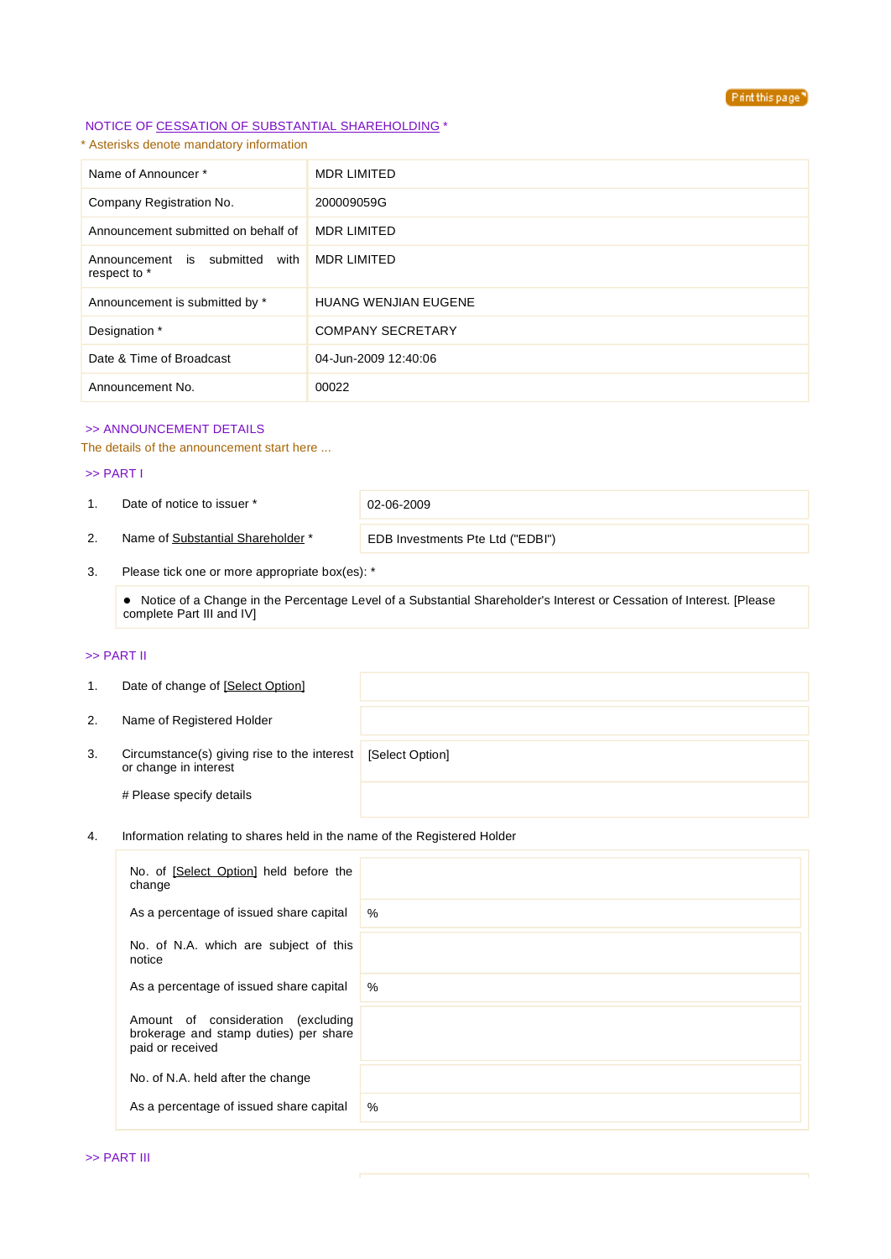

# NOTICE OF CESSATION OF SUBSTANTIAL SHAREHOLDING \*

\* Asterisks denote mandatory information

| Name of Announcer*                                | <b>MDR LIMITED</b>          |
|---------------------------------------------------|-----------------------------|
| Company Registration No.                          | 200009059G                  |
| Announcement submitted on behalf of               | <b>MDR LIMITED</b>          |
| with<br>Announcement is submitted<br>respect to * | <b>MDR LIMITED</b>          |
| Announcement is submitted by *                    | <b>HUANG WENJIAN EUGENE</b> |
| Designation *                                     | <b>COMPANY SECRETARY</b>    |
| Date & Time of Broadcast                          | 04-Jun-2009 12:40:06        |
| Announcement No.                                  | 00022                       |

## >> ANNOUNCEMENT DETAILS

The details of the announcement start here ...

#### >> PART I

1. Date of notice to issuer \* 02-06-2009

2. Name of Substantial Shareholder<sup>\*</sup> EDB Investments Pte Ltd ("EDBI")

3. Please tick one or more appropriate box(es): \*

 Notice of a Change in the Percentage Level of a Substantial Shareholder's Interest or Cessation of Interest. [Please complete Part III and IV]

# >> PART II

| 1. | Date of change of [Select Option]                                    |                 |
|----|----------------------------------------------------------------------|-----------------|
| 2. | Name of Registered Holder                                            |                 |
| 3. | Circumstance(s) giving rise to the interest<br>or change in interest | [Select Option] |
|    | # Please specify details                                             |                 |

# 4. Information relating to shares held in the name of the Registered Holder

| No. of [Select Option] held before the<br>change                                                   |      |
|----------------------------------------------------------------------------------------------------|------|
| As a percentage of issued share capital                                                            | $\%$ |
| No. of N.A. which are subject of this<br>notice                                                    |      |
| As a percentage of issued share capital                                                            | $\%$ |
| Amount of consideration<br>(excluding<br>brokerage and stamp duties) per share<br>paid or received |      |
| No. of N.A. held after the change                                                                  |      |
| As a percentage of issued share capital                                                            | %    |